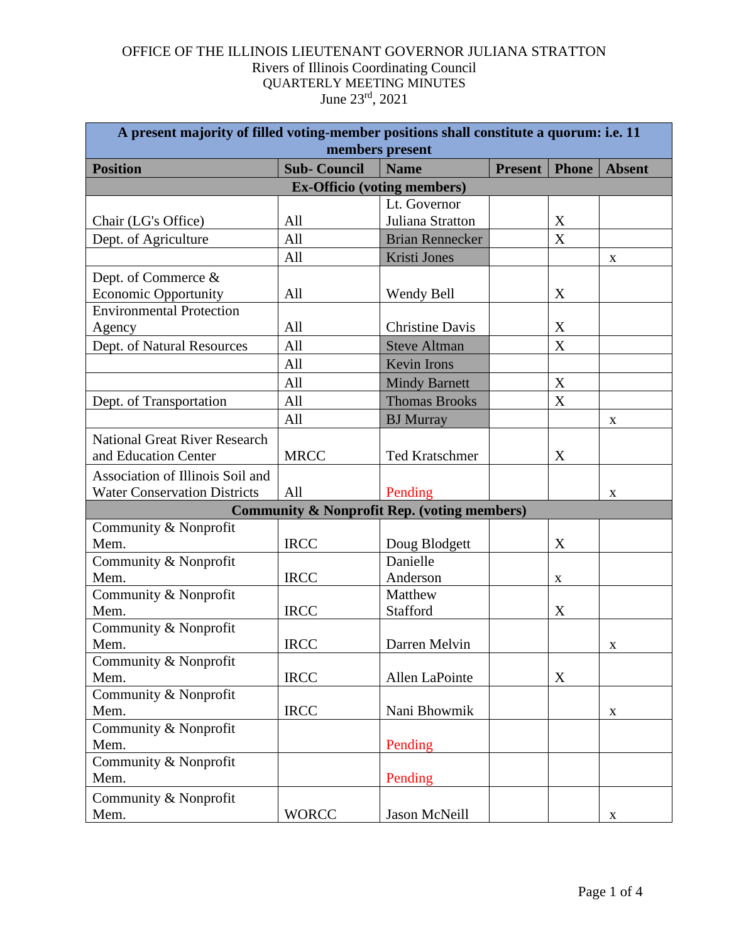| A present majority of filled voting-member positions shall constitute a quorum: i.e. 11<br>members present |                                                        |                        |                |              |               |  |  |  |
|------------------------------------------------------------------------------------------------------------|--------------------------------------------------------|------------------------|----------------|--------------|---------------|--|--|--|
| <b>Position</b>                                                                                            | <b>Sub-Council</b>                                     | <b>Name</b>            | <b>Present</b> | <b>Phone</b> | <b>Absent</b> |  |  |  |
| <b>Ex-Officio (voting members)</b>                                                                         |                                                        |                        |                |              |               |  |  |  |
|                                                                                                            |                                                        | Lt. Governor           |                |              |               |  |  |  |
| Chair (LG's Office)                                                                                        | All                                                    | Juliana Stratton       |                | X            |               |  |  |  |
| Dept. of Agriculture                                                                                       | All                                                    | <b>Brian Rennecker</b> |                | X            |               |  |  |  |
|                                                                                                            | All                                                    | Kristi Jones           |                |              | X             |  |  |  |
| Dept. of Commerce &                                                                                        |                                                        |                        |                |              |               |  |  |  |
| <b>Economic Opportunity</b>                                                                                | All                                                    | Wendy Bell             |                | X            |               |  |  |  |
| <b>Environmental Protection</b>                                                                            |                                                        |                        |                |              |               |  |  |  |
| Agency                                                                                                     | All                                                    | <b>Christine Davis</b> |                | X            |               |  |  |  |
| Dept. of Natural Resources                                                                                 | All                                                    | <b>Steve Altman</b>    |                | X            |               |  |  |  |
|                                                                                                            | All                                                    | <b>Kevin Irons</b>     |                |              |               |  |  |  |
|                                                                                                            | All                                                    | <b>Mindy Barnett</b>   |                | $\mathbf X$  |               |  |  |  |
| Dept. of Transportation                                                                                    | All                                                    | <b>Thomas Brooks</b>   |                | X            |               |  |  |  |
|                                                                                                            | All                                                    | <b>BJ</b> Murray       |                |              | X             |  |  |  |
| <b>National Great River Research</b>                                                                       |                                                        |                        |                |              |               |  |  |  |
| and Education Center                                                                                       | <b>MRCC</b>                                            | <b>Ted Kratschmer</b>  |                | X            |               |  |  |  |
| Association of Illinois Soil and                                                                           |                                                        |                        |                |              |               |  |  |  |
| <b>Water Conservation Districts</b>                                                                        | All                                                    | Pending                |                |              | X             |  |  |  |
|                                                                                                            | <b>Community &amp; Nonprofit Rep. (voting members)</b> |                        |                |              |               |  |  |  |
| Community & Nonprofit                                                                                      |                                                        |                        |                |              |               |  |  |  |
| Mem.                                                                                                       | <b>IRCC</b>                                            | Doug Blodgett          |                | X            |               |  |  |  |
| Community & Nonprofit                                                                                      |                                                        | Danielle               |                |              |               |  |  |  |
| Mem.                                                                                                       | <b>IRCC</b>                                            | Anderson               |                | X            |               |  |  |  |
| Community & Nonprofit                                                                                      |                                                        | Matthew                |                |              |               |  |  |  |
| Mem.                                                                                                       | <b>IRCC</b>                                            | Stafford               |                | X            |               |  |  |  |
| Community & Nonprofit                                                                                      |                                                        |                        |                |              |               |  |  |  |
| Mem.                                                                                                       | <b>IRCC</b>                                            | Darren Melvin          |                |              | X             |  |  |  |
| Community & Nonprofit                                                                                      |                                                        |                        |                |              |               |  |  |  |
| Mem.                                                                                                       | <b>IRCC</b>                                            | Allen LaPointe         |                | X            |               |  |  |  |
| Community & Nonprofit                                                                                      |                                                        |                        |                |              |               |  |  |  |
| Mem.                                                                                                       | <b>IRCC</b>                                            | Nani Bhowmik           |                |              | X             |  |  |  |
| Community & Nonprofit                                                                                      |                                                        |                        |                |              |               |  |  |  |
| Mem.                                                                                                       |                                                        | Pending                |                |              |               |  |  |  |
| Community & Nonprofit                                                                                      |                                                        |                        |                |              |               |  |  |  |
| Mem.                                                                                                       |                                                        | Pending                |                |              |               |  |  |  |
| Community & Nonprofit                                                                                      |                                                        |                        |                |              |               |  |  |  |
| Mem.                                                                                                       | <b>WORCC</b>                                           | Jason McNeill          |                |              | $\mathbf{X}$  |  |  |  |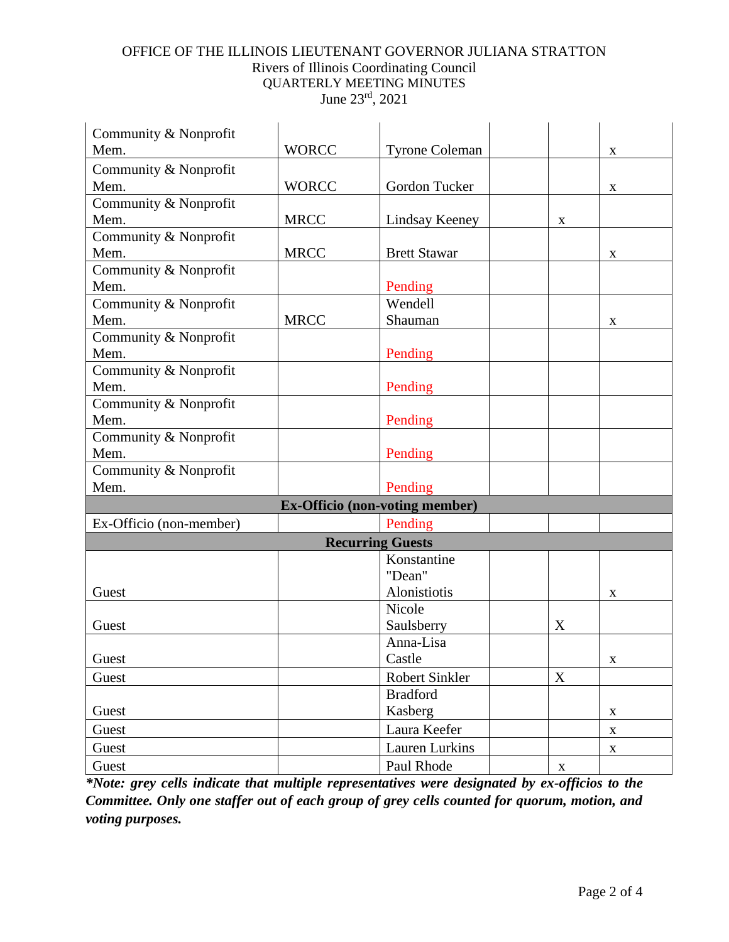| Community & Nonprofit                 |              |                       |                           |             |  |  |
|---------------------------------------|--------------|-----------------------|---------------------------|-------------|--|--|
| Mem.                                  | <b>WORCC</b> | <b>Tyrone Coleman</b> |                           | X           |  |  |
| Community & Nonprofit                 |              |                       |                           |             |  |  |
| Mem.                                  | <b>WORCC</b> | Gordon Tucker         |                           | $\mathbf X$ |  |  |
| Community & Nonprofit                 |              |                       |                           |             |  |  |
| Mem.                                  | <b>MRCC</b>  | Lindsay Keeney        | $\boldsymbol{\mathrm{X}}$ |             |  |  |
| Community & Nonprofit                 |              |                       |                           |             |  |  |
| Mem.                                  | <b>MRCC</b>  | <b>Brett Stawar</b>   |                           | X           |  |  |
| Community & Nonprofit                 |              |                       |                           |             |  |  |
| Mem.                                  |              | Pending               |                           |             |  |  |
| Community & Nonprofit                 |              | Wendell               |                           |             |  |  |
| Mem.                                  | <b>MRCC</b>  | Shauman               |                           | X           |  |  |
| Community & Nonprofit                 |              |                       |                           |             |  |  |
| Mem.                                  |              | Pending               |                           |             |  |  |
| Community & Nonprofit                 |              |                       |                           |             |  |  |
| Mem.                                  |              | Pending               |                           |             |  |  |
| Community & Nonprofit                 |              |                       |                           |             |  |  |
| Mem.                                  |              | Pending               |                           |             |  |  |
| Community & Nonprofit                 |              |                       |                           |             |  |  |
| Mem.                                  |              | Pending               |                           |             |  |  |
| Community & Nonprofit                 |              |                       |                           |             |  |  |
| Mem.                                  |              | Pending               |                           |             |  |  |
| <b>Ex-Officio (non-voting member)</b> |              |                       |                           |             |  |  |
| Ex-Officio (non-member)               |              | Pending               |                           |             |  |  |
| <b>Recurring Guests</b>               |              |                       |                           |             |  |  |
|                                       |              | Konstantine           |                           |             |  |  |
|                                       |              | "Dean"                |                           |             |  |  |
| Guest                                 |              | Alonistiotis          |                           | X           |  |  |
|                                       |              | Nicole                |                           |             |  |  |
| Guest                                 |              | Saulsberry            | X                         |             |  |  |
|                                       |              | Anna-Lisa             |                           |             |  |  |
| Guest                                 |              | Castle                |                           | X           |  |  |
| Guest                                 |              | Robert Sinkler        | $\mathbf X$               |             |  |  |
|                                       |              | <b>Bradford</b>       |                           |             |  |  |
| Guest                                 |              | Kasberg               |                           | X           |  |  |
| Guest                                 |              | Laura Keefer          |                           | $\mathbf X$ |  |  |
| Guest                                 |              | <b>Lauren Lurkins</b> |                           | $\mathbf X$ |  |  |
| Guest                                 |              | Paul Rhode            | $\mathbf X$               |             |  |  |

*\*Note: grey cells indicate that multiple representatives were designated by ex-officios to the Committee. Only one staffer out of each group of grey cells counted for quorum, motion, and voting purposes.*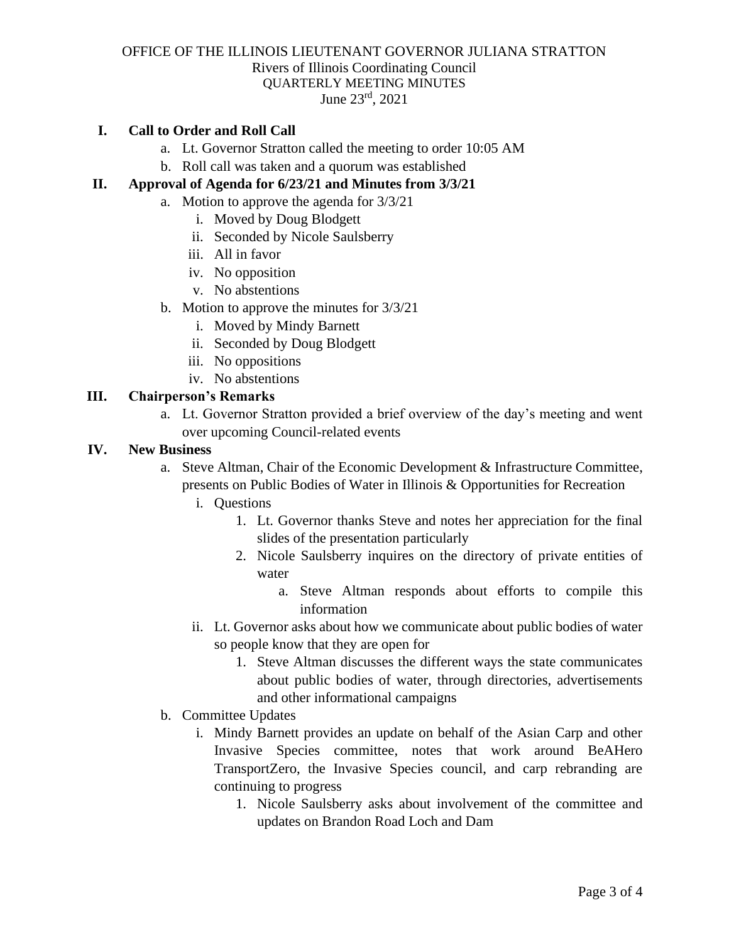## **I. Call to Order and Roll Call**

- a. Lt. Governor Stratton called the meeting to order 10:05 AM
- b. Roll call was taken and a quorum was established

## **II. Approval of Agenda for 6/23/21 and Minutes from 3/3/21**

- a. Motion to approve the agenda for 3/3/21
	- i. Moved by Doug Blodgett
	- ii. Seconded by Nicole Saulsberry
	- iii. All in favor
	- iv. No opposition
	- v. No abstentions
- b. Motion to approve the minutes for 3/3/21
	- i. Moved by Mindy Barnett
	- ii. Seconded by Doug Blodgett
	- iii. No oppositions
	- iv. No abstentions

### **III. Chairperson's Remarks**

a. Lt. Governor Stratton provided a brief overview of the day's meeting and went over upcoming Council-related events

#### **IV. New Business**

- a. Steve Altman, Chair of the Economic Development & Infrastructure Committee, presents on Public Bodies of Water in Illinois & Opportunities for Recreation
	- i. Questions
		- 1. Lt. Governor thanks Steve and notes her appreciation for the final slides of the presentation particularly
		- 2. Nicole Saulsberry inquires on the directory of private entities of water
			- a. Steve Altman responds about efforts to compile this information
	- ii. Lt. Governor asks about how we communicate about public bodies of water so people know that they are open for
		- 1. Steve Altman discusses the different ways the state communicates about public bodies of water, through directories, advertisements and other informational campaigns
- b. Committee Updates
	- i. Mindy Barnett provides an update on behalf of the Asian Carp and other Invasive Species committee, notes that work around BeAHero TransportZero, the Invasive Species council, and carp rebranding are continuing to progress
		- 1. Nicole Saulsberry asks about involvement of the committee and updates on Brandon Road Loch and Dam